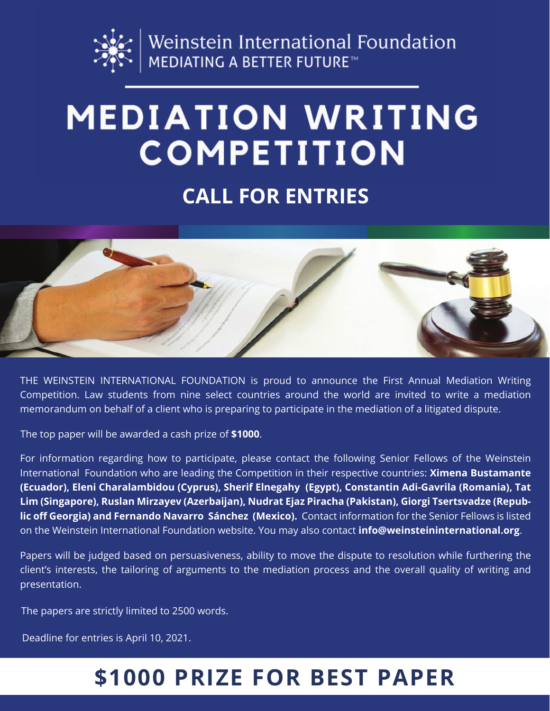

Weinstein International Foundation<br>MEDIATING A BETTER FUTURE™

# **MEDIATION WRITING COMPETITION**

### **CALL FOR ENTRIES**



THE WEINSTEIN INTERNATIONAL FOUNDATION is proud to announce the First Annual Mediation Writing Competition. Law students from nine select countries around the world are invited to write a mediation memorandum on behalf of a client who is preparing to participate in the mediation of a litigated dispute.

The top paper will be awarded a cash prize of **\$1000**.

For information regarding how to participate, please contact the following Senior Fellows of the Weinstein International Foundation who are leading the Competition in their respective countries: **Ximena Bustamante (Ecuador), Eleni Charalambidou (Cyprus), Sherif Elnegahy (Egypt), Constantin Adi-Gavrila (Romania), Tat Lim (Singapore), Ruslan Mirzayev (Azerbaijan), Nudrat Ejaz Piracha (Pakistan), Giorgi Tsertsvadze (Republic off Georgia) and Fernando Navarro Sánchez (Mexico).** Contact information for the Senior Fellows is listed on the Weinstein International Foundation website. You may also contact **info@weinsteininternational.org**.

Papers will be judged based on persuasiveness, ability to move the dispute to resolution while furthering the client's interests, the tailoring of arguments to the mediation process and the overall quality of writing and presentation.

The papers are strictly limited to 2500 words.

Deadline for entries is April 10, 2021.

## **\$1000 PRIZE FOR BEST PAPER**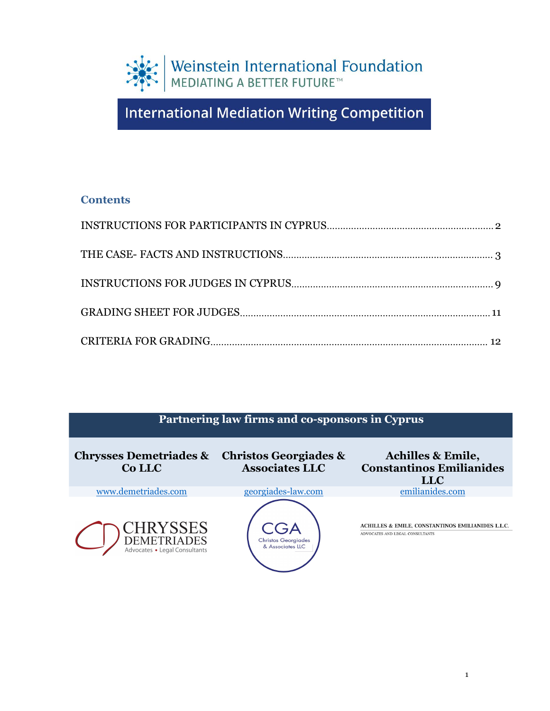

#### **Contents**

#### **Partnering law firms and co-sponsors in Cyprus Chrysses Demetriades & Christos Georgiades & Achilles & Emile, Co LLC Associates LLC Constantinos Emilianides LLC**<br>emilianides.com [www.demetriades.com](https://www.demetriades.com/) [georgiades-law.com](https://georgiades-law.com/) ACHILLES & EMILE, CONSTANTINOS EMILIANIDES L.L.C. YSSES CGA ADVOCATES AND LEGAL CONSULTANTS **DEMETRIADES Christos Georgiades** & Associates LLC Advocates . Legal Consultants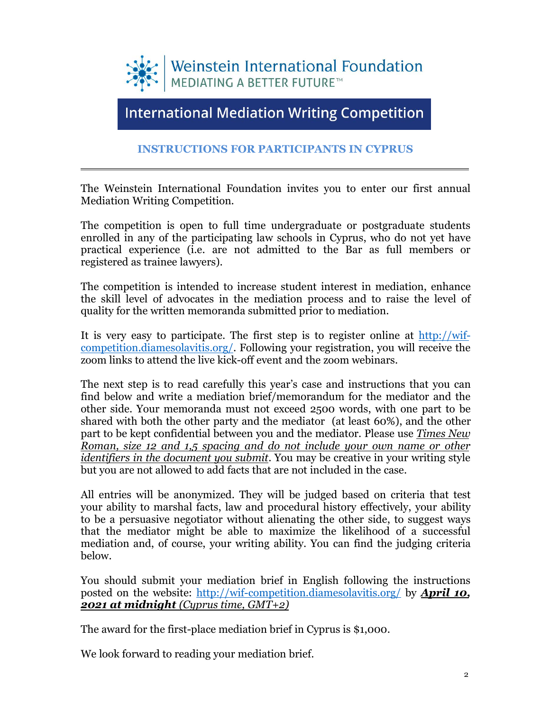

**INSTRUCTIONS FOR PARTICIPANTS IN CYPRUS**

The Weinstein International Foundation invites you to enter our first annual Mediation Writing Competition.

The competition is open to full time undergraduate or postgraduate students enrolled in any of the participating law schools in Cyprus, who do not yet have practical experience (i.e. are not admitted to the Bar as full members or registered as trainee lawyers).

The competition is intended to increase student interest in mediation, enhance the skill level of advocates in the mediation process and to raise the level of quality for the written memoranda submitted prior to mediation.

It is very easy to participate. The first step is to register online at [http://wif](http://wif-competition.diamesolavitis.org/) competition.diamesolavitis.org/. Following your registration, you will receive the zoom links to attend the live kick-off event and the zoom webinars.

The next step is to read carefully this year's case and instructions that you can find below and write a mediation brief/memorandum for the mediator and the other side. Your memoranda must not exceed 2500 words, with one part to be shared with both the other party and the mediator (at least 60%), and the other part to be kept confidential between you and the mediator. Please use *Times New Roman, size 12 and 1,5 spacing and do not include your own name or other identifiers in the document you submit*. You may be creative in your writing style but you are not allowed to add facts that are not included in the case.

All entries will be anonymized. They will be judged based on criteria that test your ability to marshal facts, law and procedural history effectively, your ability to be a persuasive negotiator without alienating the other side, to suggest ways that the mediator might be able to maximize the likelihood of a successful mediation and, of course, your writing ability. You can find the judging criteria below.

You should submit your mediation brief in English following the instructions posted on the website: <http://wif-competition.diamesolavitis.org/> by *April 10, 2021 at midnight (Cyprus time, GMT+2)*

The award for the first-place mediation brief in Cyprus is \$1,000.

We look forward to reading your mediation brief.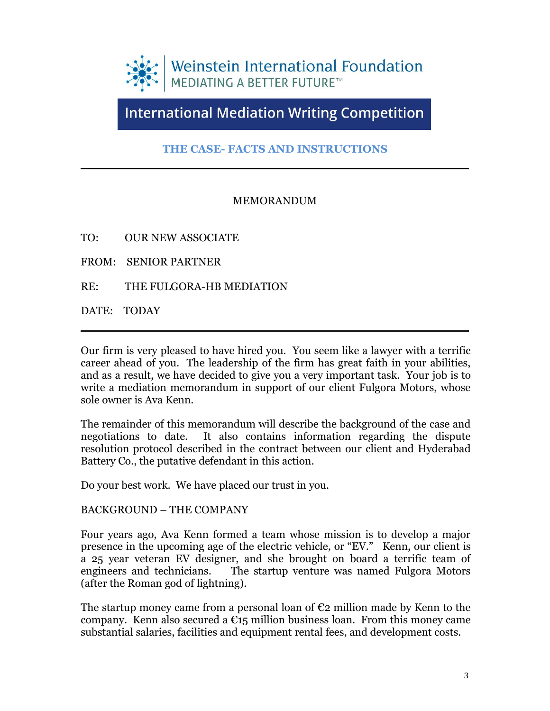

**THE CASE- FACTS AND INSTRUCTIONS**

#### MEMORANDUM

TO: OUR NEW ASSOCIATE

FROM: SENIOR PARTNER

RE: THE FULGORA-HB MEDIATION

DATE: TODAY

Our firm is very pleased to have hired you. You seem like a lawyer with a terrific career ahead of you. The leadership of the firm has great faith in your abilities, and as a result, we have decided to give you a very important task. Your job is to write a mediation memorandum in support of our client Fulgora Motors, whose sole owner is Ava Kenn.

The remainder of this memorandum will describe the background of the case and negotiations to date. It also contains information regarding the dispute resolution protocol described in the contract between our client and Hyderabad Battery Co., the putative defendant in this action.

Do your best work. We have placed our trust in you.

#### BACKGROUND – THE COMPANY

Four years ago, Ava Kenn formed a team whose mission is to develop a major presence in the upcoming age of the electric vehicle, or "EV." Kenn, our client is a 25 year veteran EV designer, and she brought on board a terrific team of engineers and technicians. The startup venture was named Fulgora Motors (after the Roman god of lightning).

The startup money came from a personal loan of  $\epsilon$ 2 million made by Kenn to the company. Kenn also secured a  $\epsilon_{15}$  million business loan. From this money came substantial salaries, facilities and equipment rental fees, and development costs.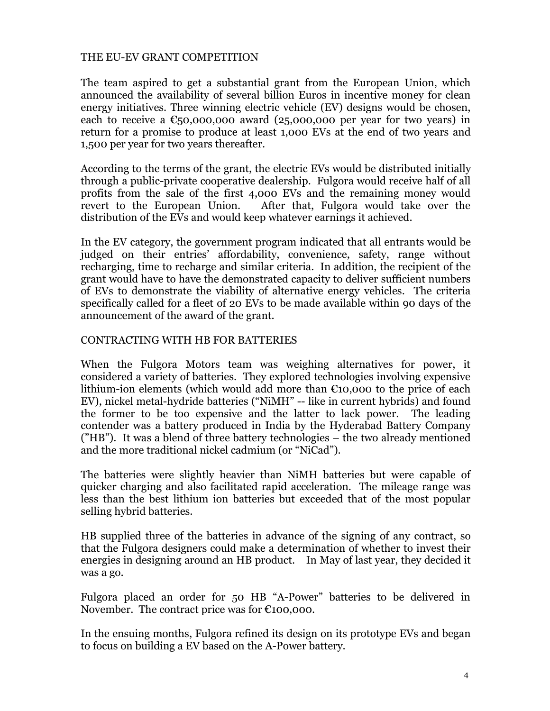#### THE EU-EV GRANT COMPETITION

The team aspired to get a substantial grant from the European Union, which announced the availability of several billion Euros in incentive money for clean energy initiatives. Three winning electric vehicle (EV) designs would be chosen, each to receive a  $\epsilon$ 50,000,000 award (25,000,000 per year for two years) in return for a promise to produce at least 1,000 EVs at the end of two years and 1,500 per year for two years thereafter.

According to the terms of the grant, the electric EVs would be distributed initially through a public-private cooperative dealership. Fulgora would receive half of all profits from the sale of the first 4,000 EVs and the remaining money would revert to the European Union. After that, Fulgora would take over the distribution of the EVs and would keep whatever earnings it achieved.

In the EV category, the government program indicated that all entrants would be judged on their entries' affordability, convenience, safety, range without recharging, time to recharge and similar criteria. In addition, the recipient of the grant would have to have the demonstrated capacity to deliver sufficient numbers of EVs to demonstrate the viability of alternative energy vehicles. The criteria specifically called for a fleet of 20 EVs to be made available within 90 days of the announcement of the award of the grant.

#### CONTRACTING WITH HB FOR BATTERIES

When the Fulgora Motors team was weighing alternatives for power, it considered a variety of batteries. They explored technologies involving expensive lithium-ion elements (which would add more than  $\epsilon$ 10,000 to the price of each EV), nickel metal-hydride batteries ("NiMH" -- like in current hybrids) and found the former to be too expensive and the latter to lack power. The leading contender was a battery produced in India by the Hyderabad Battery Company ("HB"). It was a blend of three battery technologies – the two already mentioned and the more traditional nickel cadmium (or "NiCad").

The batteries were slightly heavier than NiMH batteries but were capable of quicker charging and also facilitated rapid acceleration. The mileage range was less than the best lithium ion batteries but exceeded that of the most popular selling hybrid batteries.

HB supplied three of the batteries in advance of the signing of any contract, so that the Fulgora designers could make a determination of whether to invest their energies in designing around an HB product. In May of last year, they decided it was a go.

Fulgora placed an order for 50 HB "A-Power" batteries to be delivered in November. The contract price was for €100,000.

In the ensuing months, Fulgora refined its design on its prototype EVs and began to focus on building a EV based on the A-Power battery.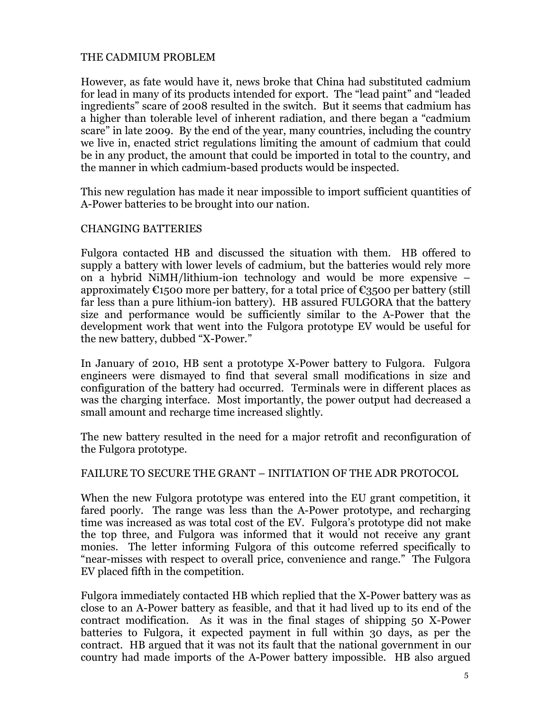#### THE CADMIUM PROBLEM

However, as fate would have it, news broke that China had substituted cadmium for lead in many of its products intended for export. The "lead paint" and "leaded ingredients" scare of 2008 resulted in the switch. But it seems that cadmium has a higher than tolerable level of inherent radiation, and there began a "cadmium scare" in late 2009. By the end of the year, many countries, including the country we live in, enacted strict regulations limiting the amount of cadmium that could be in anyproduct, the amount that could be imported in total to the country, and the manner in which cadmium-based products would be inspected.

This new regulation has made it near impossible to import sufficient quantities of A-Power batteries to be brought into our nation.<br>CHANGING BATTERIES

Fulgora contacted HB and discussed the situation with them. HB offered to supply a battery with lower levels of cadmium, but the batteries would rely more on a hybrid NiMH/lithium-ion technology and would be more expensive – approximately  $\epsilon$ 1500 more per battery, for a total price of  $\epsilon$ 3500 per battery (still far less than a pure lithium-ion battery). HB assured FULGORA that the battery size and performance would be sufficiently similar to the A-Power that the development work that went into the Fulgora prototype EV would be useful for the new battery, dubbed "X-Power."

In January of 2010, HB sent a prototype X-Power battery to Fulgora. Fulgora engineers were dismayed to find that several small modifications in size and configuration of the battery had occurred. Terminals were in different places as was the charging interface. Most importantly, the power output had decreased a small amount and recharge time increased slightly.

The new battery resulted in the need for a major retrofit and reconfiguration of the Fulgora prototype.

#### FAILURE TO SECURE THE GRANT – INITIATION OF THE ADR PROTOCOL

When the new Fulgora prototype was entered into the EU grant competition, it fared poorly. The range was less than the A-Power prototype, and recharging time was increased as was total cost of the EV. Fulgora's prototype did not make the top three, and Fulgora was informed that it would not receive any grant monies. The letter informing Fulgora of this outcome referred specifically to "near-misses with respect to overall price, convenience and range." The Fulgora EV placed fifth in the competition.

Fulgora immediately contacted HB which replied that the X-Power battery was as close to an A-Power battery as feasible, and that it had lived up to itsend of the contract modification. As it was in the final stages of shipping 50 X-Power batteries to Fulgora, it expected payment in full within 30 days, as per the contract. HB argued that it was not its fault that the national government in our country had made imports of the A-Power battery impossible. HB also argued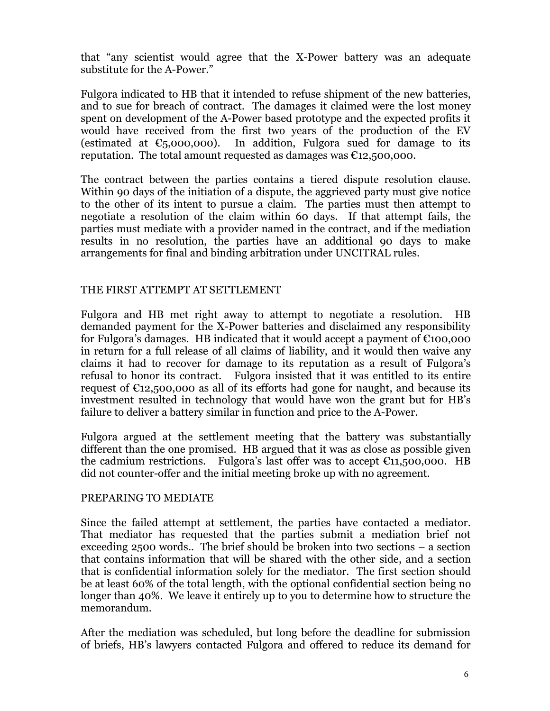that "any scientist would agree that the X-Power battery was an adequate substitute for the A-Power."

Fulgora indicated to HB that it intended to refuse shipment of the new batteries, and to sue for breach of contract. The damages it claimed were the lost money spent on development of the A-Power based prototype and the expected profits it would have received from the first two years of the production of the EV (estimated at  $\epsilon$ <sub>5</sub>,000,000). In addition, Fulgora sued for damage to its reputation. The total amount requested as damages was  $\epsilon_{12,500,000}$ .

The contract between the parties contains a tiered dispute resolution clause. Within 90 days of the initiation of a dispute, the aggrieved party must give notice to the other of its intent to pursue a claim.The parties must then attempt to negotiate a resolution of the claim within 60 days. If that attempt fails, the parties must mediate with a provider named in the contract, and if the mediation results in no resolution, the parties have an additional 90 days to make arrangements for final and binding arbitration under UNCITRAL rules.

#### THE FIRST ATTEMPT AT SETTLEMENT

Fulgora and HB met right away to attempt to negotiate a resolution. HB demanded payment for the X-Power batteries and disclaimed any responsibility for Fulgora's damages. HB indicated that it would accept a payment of  $\epsilon$ 100,000 in return for a full release of all claims of liability, and it would then waive any claims it had to recover for damage to its reputation as a resultof Fulgora's refusal to honor its contract. Fulgora insisted that it was entitled to its entire request of  $\epsilon_{12,500,000}$  as all of its efforts had gone for naught, and because its investment resulted in technology that would have won the grant but for HB's failure to deliver a battery similar in function and price to the A-Power.

Fulgora argued at the settlement meeting that the battery was substantially different than the one promised. HB argued that it was as close as possible given the cadmium restrictions. Fulgora's last offer was to accept  $\epsilon_{11,500,000}$ . HB did not counter-offer and the initial meeting broke up with no agreement.

#### PREPARING TO MEDIATE

Since the failed attempt at settlement, the parties have contacted <sup>a</sup> mediator.That mediator has requested that the parties submit <sup>a</sup> mediation brief not exceeding 2500 words.. The brief should be broken into two sections – a section that contains information that will be shared with the other side, and a section that is confidential information solely for the mediator. The first section should be at least 60% of the total length, with the optional confidential section being no longer than 40%. We leave it entirely up to you to determine how to structure the memorandum.

After the mediation was scheduled, but long before the deadline for submission of briefs, HB's lawyers contacted Fulgora and offered to reduce its demand for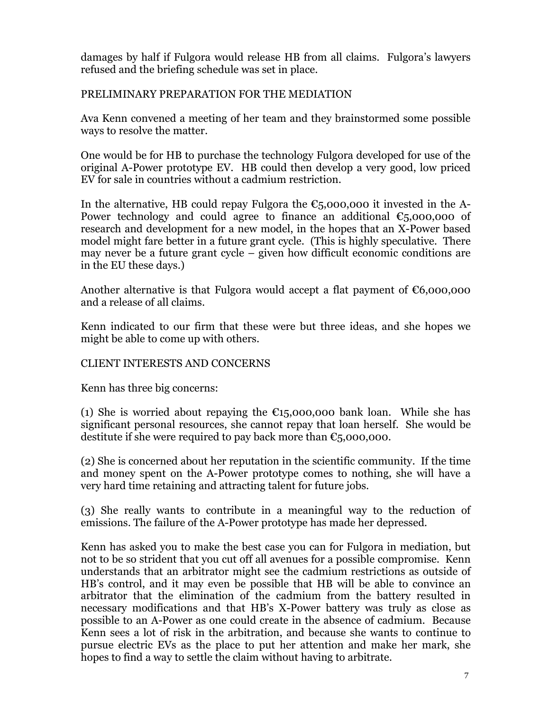damages by half if Fulgora would release HB from all claims. Fulgora's lawyers refused and the briefing schedule was set in place.

#### PRELIMINARY PREPARATION FOR THE MEDIATION

Ava Kenn convened a meeting of her team and they brainstormed some possible ways to resolve the matter.

One would be for HB to purchase the technology Fulgora developed for use of the original A-Power prototype EV. HB could then develop a very good, low priced EV for sale in countries without a cadmium restriction.

In the alternative, HB could repay Fulgora the  $\epsilon$ <sub>5</sub>,000,000 it invested in the A-Power technology and could agree to finance an additional  $\epsilon_{5,000,000}$  of research and development for a new model, in the hopes that an X-Power based model might fare better in a future grant cycle. (This is highly speculative. There may never be a future grant cycle – given how difficult economic conditions are in the EU these days.)

Another alternative is that Fulgora would accept a flat payment of  $\epsilon$ 6,000,000 and a release of all claims.

Kenn indicated to our firm that these were but three ideas, and she hopes we might be able to come up with others.

#### CLIENT INTERESTS AND CONCERNS

Kenn has three big concerns:

(1) She is worried about repaying the  $\epsilon_{15,000,000}$  bank loan. While she has significant personal resources, she cannot repay that loan herself. She would be destitute if she were required to pay back more than  $\epsilon_{5,000,000}$ .

(2) She is concerned about her reputation in the scientific community. If the time and money spent on the A-Power prototype comes to nothing, she will have a very hard time retaining and attracting talent for future jobs.

(3) She really wants to contribute in a meaningful way to the reduction of emissions. The failure of the A-Power prototype has made her depressed.

Kenn has asked you to make the best case you can for Fulgora in mediation, but not to be so strident that you cut off all avenues for a possible compromise. Kenn understands that an arbitrator might see the cadmium restrictions as outside of HB's control, and it may even be possible that HB will be able to convince an arbitrator that the elimination of the cadmium from the battery resulted in necessary modifications and that HB's X-Power battery was truly as close as possible to an A-Power as one could create in the absence of cadmium. Because Kenn sees a lot of risk in the arbitration, and because she wants to continue to pursue electric EVs as the place to put her attention and make her mark, she hopes to find a way to settle the claim without having to arbitrate.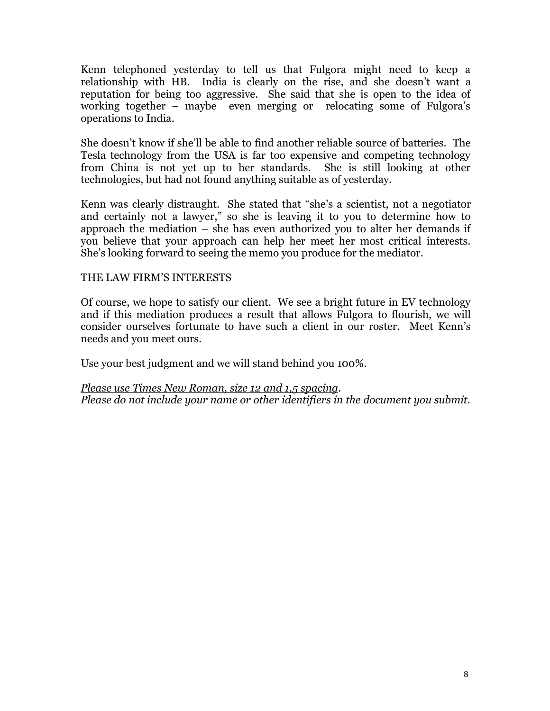Kenn telephoned yesterday to tell us that Fulgora might need to keep a relationship with HB. India is clearly on the rise, and she doesn't want a reputation for being too aggressive. She said that she is open to the idea of working together – maybe even merging or relocating some of Fulgora's operations to India.

She doesn't know if she'll be able to find another reliable source of batteries. The Tesla technology from the USA is far too expensive and competing technology from China is not yet up to her standards. She is still looking at other technologies, but had not found anything suitable as of yesterday.

Kenn was clearly distraught. She stated that "she's a scientist, not a negotiator and certainly not a lawyer," so she is leaving it to you to determine how to approach the mediation – she has even authorized you to alter her demands if you believe that your approach can help her meet her most critical interests. She's looking forward to seeing the memo you produce for the mediator.

#### THE LAW FIRM'S INTERESTS

Of course, we hope to satisfy our client. We see a bright future in EV technology and if this mediation produces a result that allows Fulgora to flourish, we will consider ourselves fortunate to have such a client in our roster. Meet Kenn's needs and you meet ours.

Use your best judgment and we will stand behind you 100%.

*Please use Times New Roman, size 12 and 1,5 spacing*. *Please do not include your name or other identifiers in the document you submit.*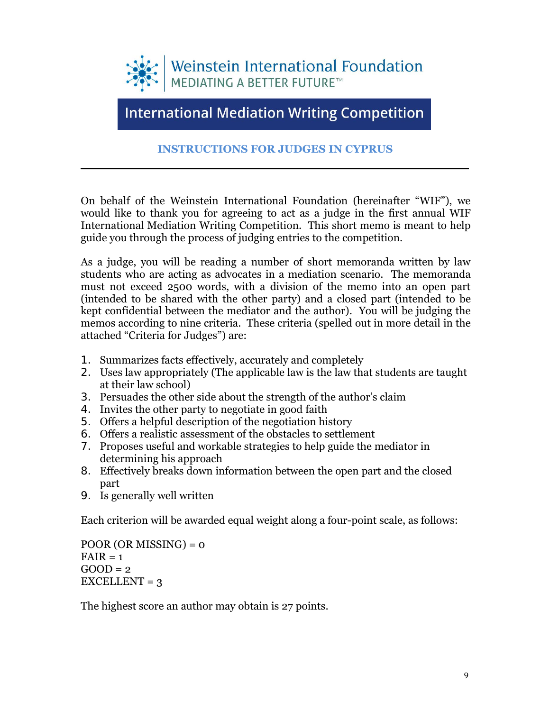

#### <span id="page-9-0"></span>**INSTRUCTIONS FOR JUDGES IN CYPRUS**

On behalf of the Weinstein International Foundation (hereinafter "WIF"), we would like to thank you for agreeing to act as a judge in the first annual WIF International Mediation Writing Competition. This short memo is meant to help guide you through the process of judging entries to the competition.

As a judge, you will be reading a number of short memoranda written by law students who are acting as advocates in a mediation scenario. The memoranda must not exceed 2500 words, with a division of the memo into an open part (intended to be shared with the other party) and a closed part (intended to be kept confidential between the mediator and the author). You will be judging the memos according to nine criteria. These criteria (spelled out in more detail in the attached "Criteria for Judges") are:

- 1. Summarizes facts effectively, accurately and completely
- 2. Uses law appropriately (The applicable law is the law that students are taught at their law school)
- 3. Persuades the other side about the strength of the author's claim
- 4. Invites the other party to negotiate in good faith
- 5. Offers a helpful description of the negotiation history
- 6. Offers a realistic assessment of the obstacles to settlement
- 7. Proposes useful and workable strategies to help guide the mediator in determining his approach
- 8. Effectively breaks down information between the open part and the closed part
- 9. Is generally well written

Each criterion will be awarded equal weight along a four-point scale, as follows:

 $POOR (OR MISSING) = 0$  $FAIR = 1$  $GOD = 2$  $EXCELLENT = 3$ 

The highest score an author may obtain is 27 points.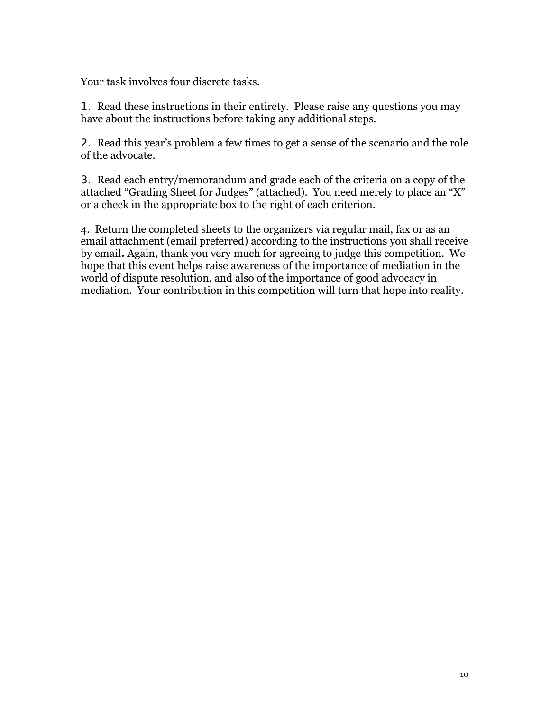Your task involves four discrete tasks.

1. Read these instructions in their entirety. Please raise any questions you may have about the instructions before taking any additional steps.

2. Read this year's problem a few times to get a sense of the scenario and the role of the advocate.

3. Read each entry/memorandum and grade each of the criteria on a copy of the attached "Grading Sheet for Judges" (attached). You need merely to place an "X" or a check in the appropriate box to the right of each criterion.

4. Return the completed sheets to the organizers via regular mail, fax or as an email attachment (email preferred) according to the instructions you shall receive by email**.** Again, thank you very much for agreeing to judge this competition. We hope that this event helps raise awareness of the importance of mediation in the world of dispute resolution, and also of the importance of good advocacy in mediation. Your contribution in this competition will turn that hope into reality.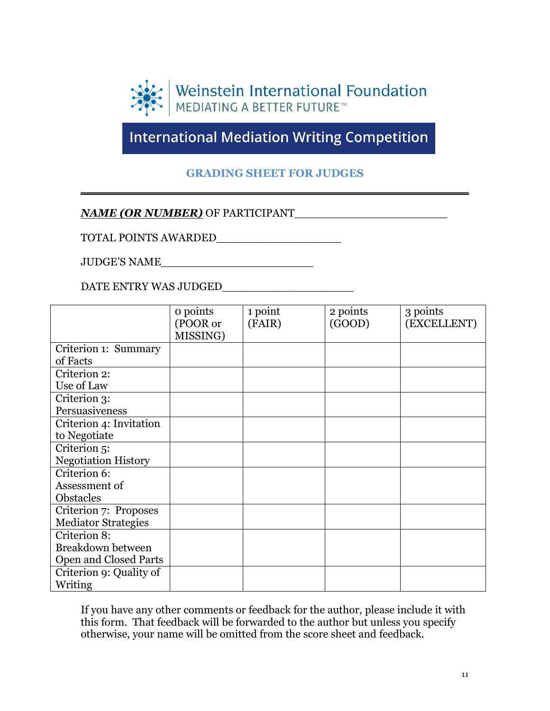

#### **GRADING SHEET FOR JUDGES**

#### *NAME (OR NUMBER)* OF PARTICIPANT\_\_\_\_\_\_\_\_\_\_\_\_\_\_\_\_\_\_\_\_\_\_

TOTAL POINTS AWARDED\_\_\_\_\_\_\_\_\_\_\_\_\_\_\_\_\_\_

JUDGE'S NAME\_\_\_\_\_\_\_\_\_\_\_\_\_\_\_\_\_\_\_\_\_\_

DATE ENTRY WAS JUDGED

|                            | o points | 1 point | 2 points | 3 points    |
|----------------------------|----------|---------|----------|-------------|
|                            | (POOR or | (FAIR)  | (GOOD)   | (EXCELLENT) |
|                            | MISSING) |         |          |             |
| Criterion 1: Summary       |          |         |          |             |
| of Facts                   |          |         |          |             |
| Criterion 2:               |          |         |          |             |
| Use of Law                 |          |         |          |             |
| Criterion 3:               |          |         |          |             |
| Persuasiveness             |          |         |          |             |
| Criterion 4: Invitation    |          |         |          |             |
| to Negotiate               |          |         |          |             |
| Criterion 5:               |          |         |          |             |
| <b>Negotiation History</b> |          |         |          |             |
| Criterion 6:               |          |         |          |             |
| Assessment of              |          |         |          |             |
| Obstacles                  |          |         |          |             |
| Criterion 7: Proposes      |          |         |          |             |
| <b>Mediator Strategies</b> |          |         |          |             |
| Criterion 8:               |          |         |          |             |
| Breakdown between          |          |         |          |             |
| Open and Closed Parts      |          |         |          |             |
| Criterion 9: Quality of    |          |         |          |             |
| Writing                    |          |         |          |             |

If you have any other comments or feedback for the author, please include it with this form. That feedback will be forwarded to the author but unless you specify otherwise, your name will be omitted from the score sheet and feedback.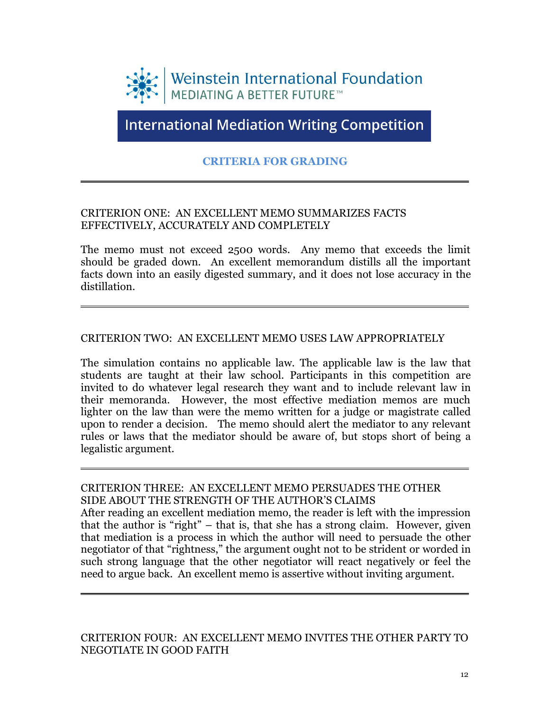

#### **CRITERIA FOR GRADING**

#### CRITERION ONE: AN EXCELLENT MEMO SUMMARIZES FACTS EFFECTIVELY, ACCURATELY AND COMPLETELY

The memo must not exceed 2500 words. Any memo that exceeds the limit should be graded down. An excellent memorandum distills all the important facts down into an easily digested summary, and it does not lose accuracy in the distillation.

#### CRITERION TWO: AN EXCELLENT MEMO USES LAW APPROPRIATELY

The simulation contains no applicable law. The applicable law is the law that students are taught at their law school. Participants in this competition are invited to do whatever legal research they want and to include relevant law in their memoranda. However, the most effective mediation memos are much lighter on the law than were the memo written for a judge or magistrate called upon to render a decision. The memo should alert the mediator to any relevant rules or laws that the mediator should be aware of, but stops short of being a legalistic argument.

#### CRITERION THREE: AN EXCELLENT MEMO PERSUADES THE OTHER SIDE ABOUT THE STRENGTH OF THE AUTHOR'S CLAIMS

After reading an excellent mediation memo, the reader is left with the impression that the author is "right" – that is, that she has a strong claim. However, given that mediation is a process in which the author will need to persuade the other negotiator of that "rightness," the argument ought not to be strident or worded in such strong language that the other negotiator will react negatively or feel the need to argue back. An excellent memo is assertive without inviting argument.

CRITERION FOUR: AN EXCELLENT MEMO INVITES THE OTHER PARTY TO NEGOTIATE IN GOOD FAITH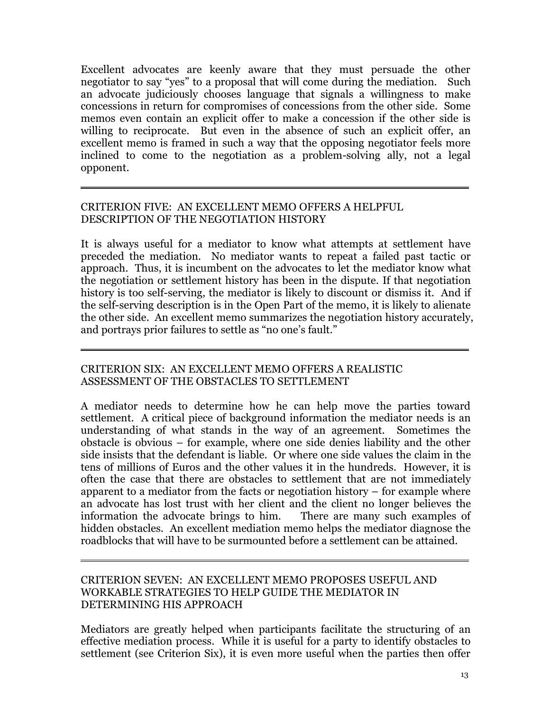Excellent advocates are keenly aware that they must persuade the other negotiator to say "yes" to a proposal that will come during the mediation. Such an advocate judiciously chooses language that signals a willingness to make concessions in return for compromises of concessions from the other side. Some memos even contain an explicit offer to make a concession if the other side is willing to reciprocate. But even in the absence of such an explicit offer, an excellent memo is framed in such a way that the opposing negotiator feels more inclined to come to the negotiation as a problem-solving ally, not a legal opponent.

#### CRITERION FIVE: AN EXCELLENT MEMO OFFERS A HELPFUL DESCRIPTION OF THE NEGOTIATION HISTORY

It is always useful for a mediator to know what attempts at settlement have preceded the mediation. No mediator wants to repeat a failed past tactic or approach. Thus, it is incumbent on the advocates to let the mediator know what the negotiation or settlement history has been in the dispute. If that negotiation history is too self-serving, the mediator is likely to discount or dismiss it. And if the self-serving description is in the Open Part of the memo, it is likely to alienate the other side. An excellent memo summarizes the negotiation history accurately, and portrays prior failures to settle as "no one's fault."

#### CRITERION SIX: AN EXCELLENT MEMO OFFERS A REALISTIC ASSESSMENT OF THE OBSTACLES TO SETTLEMENT

A mediator needs to determine how he can help move the parties toward settlement. A critical piece of background information the mediator needs is an understanding of what stands in the way of an agreement. Sometimes the  $\alpha$  obstacle is obvious – for example, where one side denies liability and the other side insists that the defendant is liable. Or where one side values the claim in the tens of millions of Euros and theother values it in the hundreds. However, it is often the case that there are obstacles to settlement that are not immediately apparent to a mediator from the facts or negotiation history – for example where an advocate has lost trust with her client and the client no longer believes the information the advocate brings to him. There are many such examples of hidden obstacles. An excellent mediation memo helps the mediator diagnose the roadblocks that will have to be surmounted before a settlement can be attained.

#### CRITERION SEVEN: AN EXCELLENT MEMO PROPOSES USEFUL AND WORKABLE STRATEGIES TO HELP GUIDE THE MEDIATOR IN DETERMINING HIS APPROACH

Mediators are greatly helped when participants facilitate the structuring of an effective mediation process. While it is useful for a party to identify obstacles to settlement (see Criterion Six), it is even more useful when the parties then offer